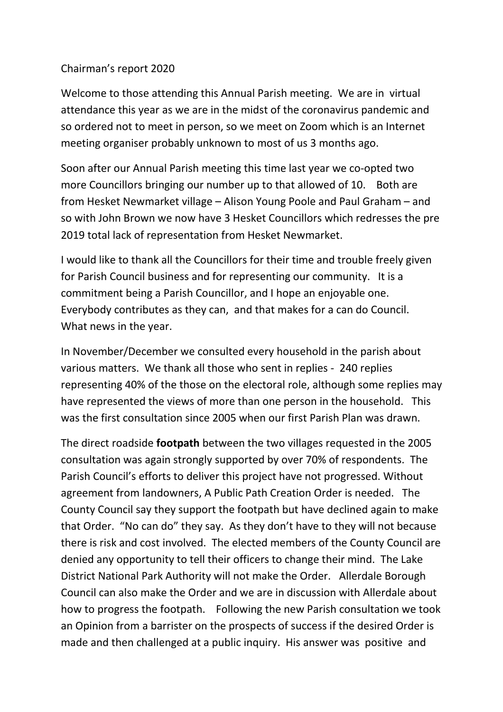## Chairman's report 2020

Welcome to those attending this Annual Parish meeting. We are in virtual attendance this year as we are in the midst of the coronavirus pandemic and so ordered not to meet in person, so we meet on Zoom which is an Internet meeting organiser probably unknown to most of us 3 months ago.

Soon after our Annual Parish meeting this time last year we co-opted two more Councillors bringing our number up to that allowed of 10. Both are from Hesket Newmarket village – Alison Young Poole and Paul Graham – and so with John Brown we now have 3 Hesket Councillors which redresses the pre 2019 total lack of representation from Hesket Newmarket.

I would like to thank all the Councillors for their time and trouble freely given for Parish Council business and for representing our community. It is a commitment being a Parish Councillor, and I hope an enjoyable one. Everybody contributes as they can, and that makes for a can do Council. What news in the year.

In November/December we consulted every household in the parish about various matters. We thank all those who sent in replies - 240 replies representing 40% of the those on the electoral role, although some replies may have represented the views of more than one person in the household. This was the first consultation since 2005 when our first Parish Plan was drawn.

The direct roadside **footpath** between the two villages requested in the 2005 consultation was again strongly supported by over 70% of respondents. The Parish Council's efforts to deliver this project have not progressed. Without agreement from landowners, A Public Path Creation Order is needed. The County Council say they support the footpath but have declined again to make that Order. "No can do" they say. As they don't have to they will not because there is risk and cost involved. The elected members of the County Council are denied any opportunity to tell their officers to change their mind. The Lake District National Park Authority will not make the Order. Allerdale Borough Council can also make the Order and we are in discussion with Allerdale about how to progress the footpath. Following the new Parish consultation we took an Opinion from a barrister on the prospects of success if the desired Order is made and then challenged at a public inquiry. His answer was positive and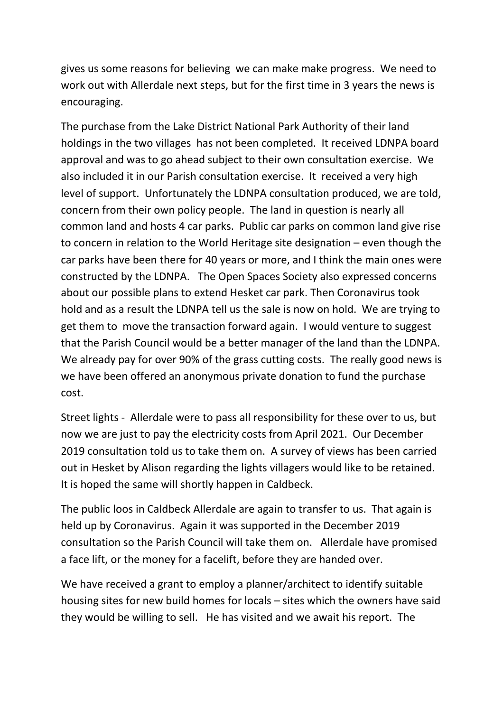gives us some reasons for believing we can make make progress. We need to work out with Allerdale next steps, but for the first time in 3 years the news is encouraging.

The purchase from the Lake District National Park Authority of their land holdings in the two villages has not been completed. It received LDNPA board approval and was to go ahead subject to their own consultation exercise. We also included it in our Parish consultation exercise. It received a very high level of support. Unfortunately the LDNPA consultation produced, we are told, concern from their own policy people. The land in question is nearly all common land and hosts 4 car parks. Public car parks on common land give rise to concern in relation to the World Heritage site designation – even though the car parks have been there for 40 years or more, and I think the main ones were constructed by the LDNPA. The Open Spaces Society also expressed concerns about our possible plans to extend Hesket car park. Then Coronavirus took hold and as a result the LDNPA tell us the sale is now on hold. We are trying to get them to move the transaction forward again. I would venture to suggest that the Parish Council would be a better manager of the land than the LDNPA. We already pay for over 90% of the grass cutting costs. The really good news is we have been offered an anonymous private donation to fund the purchase cost.

Street lights - Allerdale were to pass all responsibility for these over to us, but now we are just to pay the electricity costs from April 2021. Our December 2019 consultation told us to take them on. A survey of views has been carried out in Hesket by Alison regarding the lights villagers would like to be retained. It is hoped the same will shortly happen in Caldbeck.

The public loos in Caldbeck Allerdale are again to transfer to us. That again is held up by Coronavirus. Again it was supported in the December 2019 consultation so the Parish Council will take them on. Allerdale have promised a face lift, or the money for a facelift, before they are handed over.

We have received a grant to employ a planner/architect to identify suitable housing sites for new build homes for locals – sites which the owners have said they would be willing to sell. He has visited and we await his report. The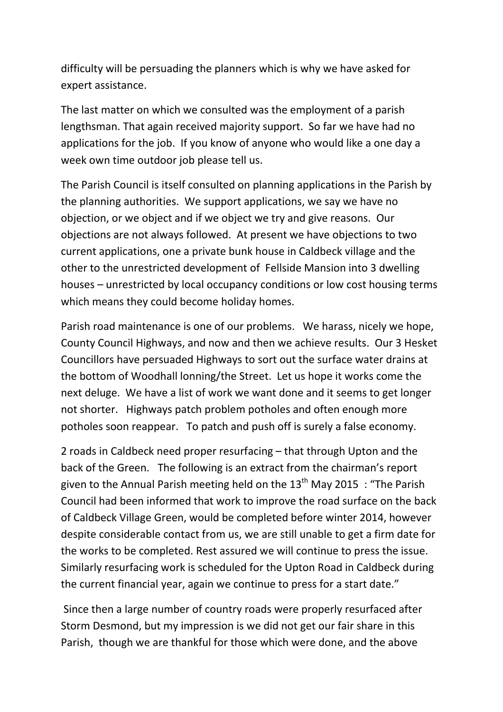difficulty will be persuading the planners which is why we have asked for expert assistance.

The last matter on which we consulted was the employment of a parish lengthsman. That again received majority support. So far we have had no applications for the job. If you know of anyone who would like a one day a week own time outdoor job please tell us.

The Parish Council is itself consulted on planning applications in the Parish by the planning authorities. We support applications, we say we have no objection, or we object and if we object we try and give reasons. Our objections are not always followed. At present we have objections to two current applications, one a private bunk house in Caldbeck village and the other to the unrestricted development of Fellside Mansion into 3 dwelling houses – unrestricted by local occupancy conditions or low cost housing terms which means they could become holiday homes.

Parish road maintenance is one of our problems. We harass, nicely we hope, County Council Highways, and now and then we achieve results. Our 3 Hesket Councillors have persuaded Highways to sort out the surface water drains at the bottom of Woodhall lonning/the Street. Let us hope it works come the next deluge. We have a list of work we want done and it seems to get longer not shorter. Highways patch problem potholes and often enough more potholes soon reappear. To patch and push off is surely a false economy.

2 roads in Caldbeck need proper resurfacing – that through Upton and the back of the Green. The following is an extract from the chairman's report given to the Annual Parish meeting held on the  $13<sup>th</sup>$  May 2015 : "The Parish Council had been informed that work to improve the road surface on the back of Caldbeck Village Green, would be completed before winter 2014, however despite considerable contact from us, we are still unable to get a firm date for the works to be completed. Rest assured we will continue to press the issue. Similarly resurfacing work is scheduled for the Upton Road in Caldbeck during the current financial year, again we continue to press for a start date."

Since then a large number of country roads were properly resurfaced after Storm Desmond, but my impression is we did not get our fair share in this Parish, though we are thankful for those which were done, and the above